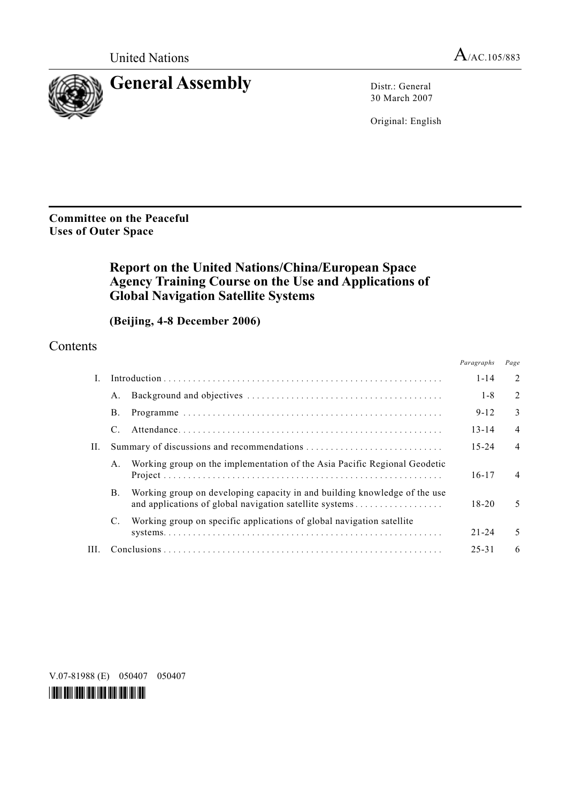

30 March 2007

Original: English

### **Committee on the Peaceful Uses of Outer Space**

# **Report on the United Nations/China/European Space Agency Training Course on the Use and Applications of Global Navigation Satellite Systems**

# **(Beijing, 4-8 December 2006)**

### **Contents**

|     |         |                                                                                                                                      | Paragraphs | Page           |
|-----|---------|--------------------------------------------------------------------------------------------------------------------------------------|------------|----------------|
| L   |         |                                                                                                                                      | $1 - 14$   | $\overline{2}$ |
|     | A.      |                                                                                                                                      | $1 - 8$    | $\overline{2}$ |
|     | В.      |                                                                                                                                      | $9 - 12$   | 3              |
|     | C.      |                                                                                                                                      | $13 - 14$  | $\overline{4}$ |
| Н.  |         |                                                                                                                                      | $15 - 24$  | $\overline{4}$ |
|     | $A_{-}$ | Working group on the implementation of the Asia Pacific Regional Geodetic                                                            | $16 - 17$  | $\overline{4}$ |
|     | Β.      | Working group on developing capacity in and building knowledge of the use<br>and applications of global navigation satellite systems | $18 - 20$  | 5              |
|     | C.      | Working group on specific applications of global navigation satellite                                                                |            |                |
|     |         |                                                                                                                                      | $21 - 24$  | 5              |
| HL. |         |                                                                                                                                      | $25 - 31$  | 6              |

V.07-81988 (E) 050407 050407

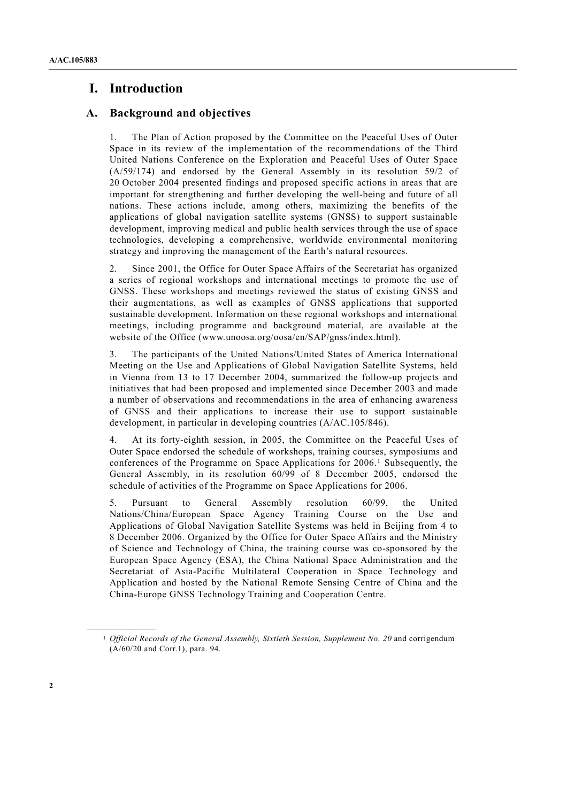# **I. Introduction**

#### **A. Background and objectives**

1. The Plan of Action proposed by the Committee on the Peaceful Uses of Outer Space in its review of the implementation of the recommendations of the Third United Nations Conference on the Exploration and Peaceful Uses of Outer Space (A/59/174) and endorsed by the General Assembly in its resolution 59/2 of 20 October 2004 presented findings and proposed specific actions in areas that are important for strengthening and further developing the well-being and future of all nations. These actions include, among others, maximizing the benefits of the applications of global navigation satellite systems (GNSS) to support sustainable development, improving medical and public health services through the use of space technologies, developing a comprehensive, worldwide environmental monitoring strategy and improving the management of the Earth's natural resources.

2. Since 2001, the Office for Outer Space Affairs of the Secretariat has organized a series of regional workshops and international meetings to promote the use of GNSS. These workshops and meetings reviewed the status of existing GNSS and their augmentations, as well as examples of GNSS applications that supported sustainable development. Information on these regional workshops and international meetings, including programme and background material, are available at the website of the Office (www.unoosa.org/oosa/en/SAP/gnss/index.html).

3. The participants of the United Nations/United States of America International Meeting on the Use and Applications of Global Navigation Satellite Systems, held in Vienna from 13 to 17 December 2004, summarized the follow-up projects and initiatives that had been proposed and implemented since December 2003 and made a number of observations and recommendations in the area of enhancing awareness of GNSS and their applications to increase their use to support sustainable development, in particular in developing countries (A/AC.105/846).

4. At its forty-eighth session, in 2005, the Committee on the Peaceful Uses of Outer Space endorsed the schedule of workshops, training courses, symposiums and conferences of the Programme on Space Applications for 2006.1 Subsequently, the General Assembly, in its resolution 60/99 of 8 December 2005, endorsed the schedule of activities of the Programme on Space Applications for 2006.

5. Pursuant to General Assembly resolution 60/99, the United Nations/China/European Space Agency Training Course on the Use and Applications of Global Navigation Satellite Systems was held in Beijing from 4 to 8 December 2006. Organized by the Office for Outer Space Affairs and the Ministry of Science and Technology of China, the training course was co-sponsored by the European Space Agency (ESA), the China National Space Administration and the Secretariat of Asia-Pacific Multilateral Cooperation in Space Technology and Application and hosted by the National Remote Sensing Centre of China and the China-Europe GNSS Technology Training and Cooperation Centre.

**\_\_\_\_\_\_\_\_\_\_\_\_\_\_\_\_\_\_** 

<sup>1</sup> *Official Records of the General Assembly, Sixtieth Session, Supplement No. 20* and corrigendum (A/60/20 and Corr.1), para. 94.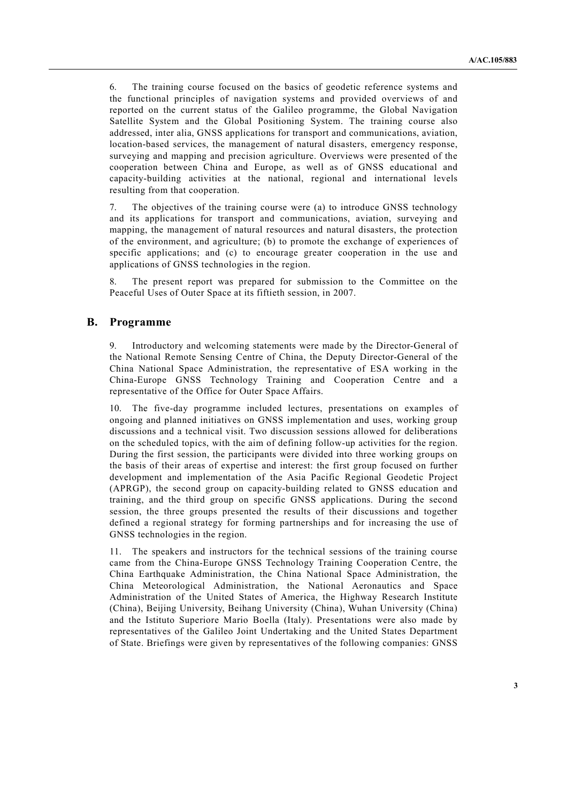6. The training course focused on the basics of geodetic reference systems and the functional principles of navigation systems and provided overviews of and reported on the current status of the Galileo programme, the Global Navigation Satellite System and the Global Positioning System. The training course also addressed, inter alia, GNSS applications for transport and communications, aviation, location-based services, the management of natural disasters, emergency response, surveying and mapping and precision agriculture. Overviews were presented of the cooperation between China and Europe, as well as of GNSS educational and capacity-building activities at the national, regional and international levels resulting from that cooperation.

7. The objectives of the training course were (a) to introduce GNSS technology and its applications for transport and communications, aviation, surveying and mapping, the management of natural resources and natural disasters, the protection of the environment, and agriculture; (b) to promote the exchange of experiences of specific applications; and (c) to encourage greater cooperation in the use and applications of GNSS technologies in the region.

8. The present report was prepared for submission to the Committee on the Peaceful Uses of Outer Space at its fiftieth session, in 2007.

#### **B. Programme**

9. Introductory and welcoming statements were made by the Director-General of the National Remote Sensing Centre of China, the Deputy Director-General of the China National Space Administration, the representative of ESA working in the China-Europe GNSS Technology Training and Cooperation Centre and a representative of the Office for Outer Space Affairs.

10. The five-day programme included lectures, presentations on examples of ongoing and planned initiatives on GNSS implementation and uses, working group discussions and a technical visit. Two discussion sessions allowed for deliberations on the scheduled topics, with the aim of defining follow-up activities for the region. During the first session, the participants were divided into three working groups on the basis of their areas of expertise and interest: the first group focused on further development and implementation of the Asia Pacific Regional Geodetic Project (APRGP), the second group on capacity-building related to GNSS education and training, and the third group on specific GNSS applications. During the second session, the three groups presented the results of their discussions and together defined a regional strategy for forming partnerships and for increasing the use of GNSS technologies in the region.

11. The speakers and instructors for the technical sessions of the training course came from the China-Europe GNSS Technology Training Cooperation Centre, the China Earthquake Administration, the China National Space Administration, the China Meteorological Administration, the National Aeronautics and Space Administration of the United States of America, the Highway Research Institute (China), Beijing University, Beihang University (China), Wuhan University (China) and the Istituto Superiore Mario Boella (Italy). Presentations were also made by representatives of the Galileo Joint Undertaking and the United States Department of State. Briefings were given by representatives of the following companies: GNSS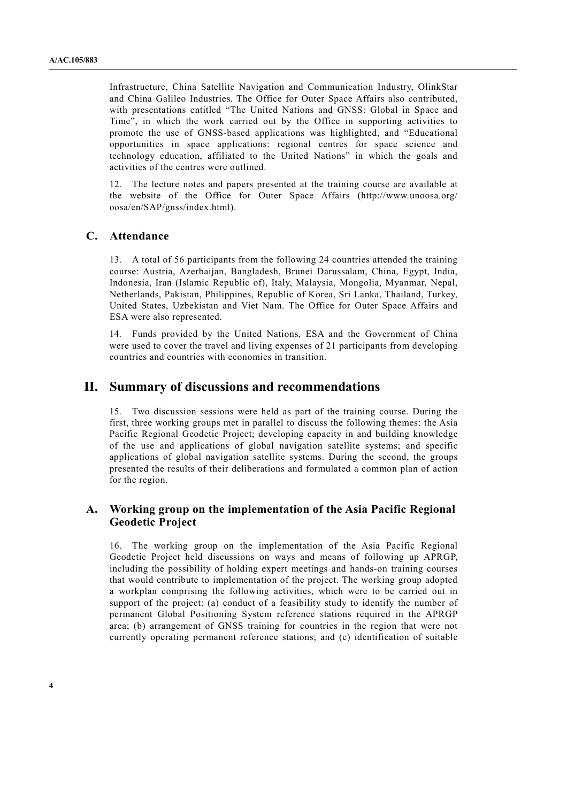Infrastructure, China Satellite Navigation and Communication Industry, OlinkStar and China Galileo Industries. The Office for Outer Space Affairs also contributed, with presentations entitled "The United Nations and GNSS: Global in Space and Time", in which the work carried out by the Office in supporting activities to promote the use of GNSS-based applications was highlighted, and "Educational opportunities in space applications: regional centres for space science and technology education, affiliated to the United Nations" in which the goals and activities of the centres were outlined.

12. The lecture notes and papers presented at the training course are available at the website of the Office for Outer Space Affairs (http://www.unoosa.org/ oosa/en/SAP/gnss/index.html).

#### **C. Attendance**

13. A total of 56 participants from the following 24 countries attended the training course: Austria, Azerbaijan, Bangladesh, Brunei Darussalam, China, Egypt, India, Indonesia, Iran (Islamic Republic of), Italy, Malaysia, Mongolia, Myanmar, Nepal, Netherlands, Pakistan, Philippines, Republic of Korea, Sri Lanka, Thailand, Turkey, United States, Uzbekistan and Viet Nam. The Office for Outer Space Affairs and ESA were also represented.

14. Funds provided by the United Nations, ESA and the Government of China were used to cover the travel and living expenses of 21 participants from developing countries and countries with economies in transition.

### **II. Summary of discussions and recommendations**

15. Two discussion sessions were held as part of the training course. During the first, three working groups met in parallel to discuss the following themes: the Asia Pacific Regional Geodetic Project; developing capacity in and building knowledge of the use and applications of global navigation satellite systems; and specific applications of global navigation satellite systems. During the second, the groups presented the results of their deliberations and formulated a common plan of action for the region.

#### **A. Working group on the implementation of the Asia Pacific Regional Geodetic Project**

16. The working group on the implementation of the Asia Pacific Regional Geodetic Project held discussions on ways and means of following up APRGP, including the possibility of holding expert meetings and hands-on training courses that would contribute to implementation of the project. The working group adopted a workplan comprising the following activities, which were to be carried out in support of the project: (a) conduct of a feasibility study to identify the number of permanent Global Positioning System reference stations required in the APRGP area; (b) arrangement of GNSS training for countries in the region that were not currently operating permanent reference stations; and (c) identification of suitable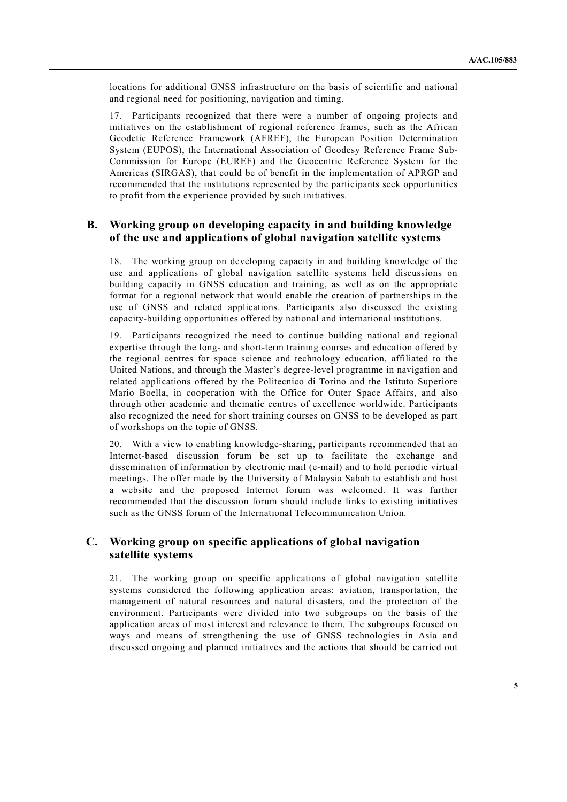locations for additional GNSS infrastructure on the basis of scientific and national and regional need for positioning, navigation and timing.

17. Participants recognized that there were a number of ongoing projects and initiatives on the establishment of regional reference frames, such as the African Geodetic Reference Framework (AFREF), the European Position Determination System (EUPOS), the International Association of Geodesy Reference Frame Sub-Commission for Europe (EUREF) and the Geocentric Reference System for the Americas (SIRGAS), that could be of benefit in the implementation of APRGP and recommended that the institutions represented by the participants seek opportunities to profit from the experience provided by such initiatives.

#### **B. Working group on developing capacity in and building knowledge of the use and applications of global navigation satellite systems**

18. The working group on developing capacity in and building knowledge of the use and applications of global navigation satellite systems held discussions on building capacity in GNSS education and training, as well as on the appropriate format for a regional network that would enable the creation of partnerships in the use of GNSS and related applications. Participants also discussed the existing capacity-building opportunities offered by national and international institutions.

19. Participants recognized the need to continue building national and regional expertise through the long- and short-term training courses and education offered by the regional centres for space science and technology education, affiliated to the United Nations, and through the Master's degree-level programme in navigation and related applications offered by the Politecnico di Torino and the Istituto Superiore Mario Boella, in cooperation with the Office for Outer Space Affairs, and also through other academic and thematic centres of excellence worldwide. Participants also recognized the need for short training courses on GNSS to be developed as part of workshops on the topic of GNSS.

20. With a view to enabling knowledge-sharing, participants recommended that an Internet-based discussion forum be set up to facilitate the exchange and dissemination of information by electronic mail (e-mail) and to hold periodic virtual meetings. The offer made by the University of Malaysia Sabah to establish and host a website and the proposed Internet forum was welcomed. It was further recommended that the discussion forum should include links to existing initiatives such as the GNSS forum of the International Telecommunication Union.

#### **C. Working group on specific applications of global navigation satellite systems**

21. The working group on specific applications of global navigation satellite systems considered the following application areas: aviation, transportation, the management of natural resources and natural disasters, and the protection of the environment. Participants were divided into two subgroups on the basis of the application areas of most interest and relevance to them. The subgroups focused on ways and means of strengthening the use of GNSS technologies in Asia and discussed ongoing and planned initiatives and the actions that should be carried out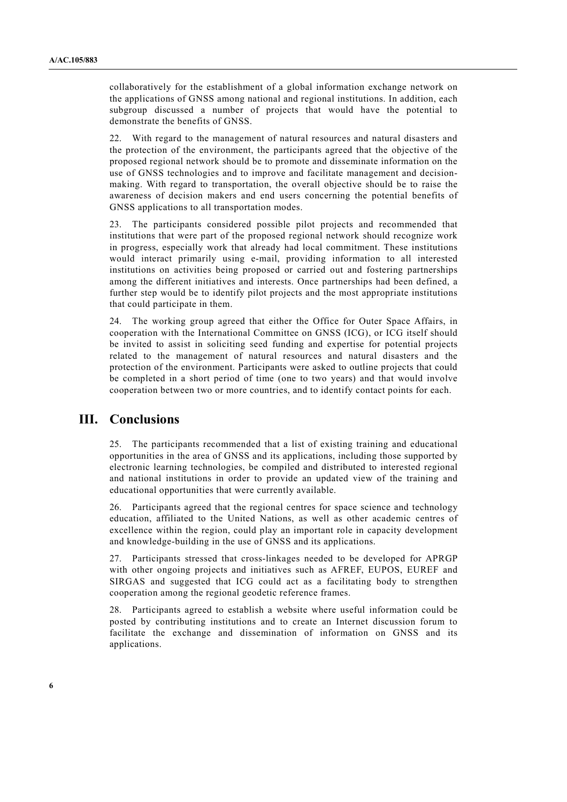collaboratively for the establishment of a global information exchange network on the applications of GNSS among national and regional institutions. In addition, each subgroup discussed a number of projects that would have the potential to demonstrate the benefits of GNSS.

22. With regard to the management of natural resources and natural disasters and the protection of the environment, the participants agreed that the objective of the proposed regional network should be to promote and disseminate information on the use of GNSS technologies and to improve and facilitate management and decisionmaking. With regard to transportation, the overall objective should be to raise the awareness of decision makers and end users concerning the potential benefits of GNSS applications to all transportation modes.

23. The participants considered possible pilot projects and recommended that institutions that were part of the proposed regional network should recognize work in progress, especially work that already had local commitment. These institutions would interact primarily using e-mail, providing information to all interested institutions on activities being proposed or carried out and fostering partnerships among the different initiatives and interests. Once partnerships had been defined, a further step would be to identify pilot projects and the most appropriate institutions that could participate in them.

24. The working group agreed that either the Office for Outer Space Affairs, in cooperation with the International Committee on GNSS (ICG), or ICG itself should be invited to assist in soliciting seed funding and expertise for potential projects related to the management of natural resources and natural disasters and the protection of the environment. Participants were asked to outline projects that could be completed in a short period of time (one to two years) and that would involve cooperation between two or more countries, and to identify contact points for each.

#### **III. Conclusions**

25. The participants recommended that a list of existing training and educational opportunities in the area of GNSS and its applications, including those supported by electronic learning technologies, be compiled and distributed to interested regional and national institutions in order to provide an updated view of the training and educational opportunities that were currently available.

26. Participants agreed that the regional centres for space science and technology education, affiliated to the United Nations, as well as other academic centres of excellence within the region, could play an important role in capacity development and knowledge-building in the use of GNSS and its applications.

27. Participants stressed that cross-linkages needed to be developed for APRGP with other ongoing projects and initiatives such as AFREF, EUPOS, EUREF and SIRGAS and suggested that ICG could act as a facilitating body to strengthen cooperation among the regional geodetic reference frames.

28. Participants agreed to establish a website where useful information could be posted by contributing institutions and to create an Internet discussion forum to facilitate the exchange and dissemination of information on GNSS and its applications.